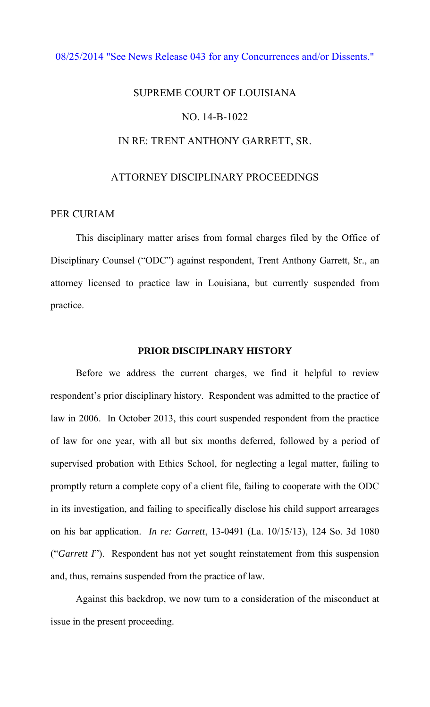## [08/25/2014 "See News Release 043 for any Concurrences and/or Dissents."](http://www.lasc.org/Actions?p=2014-043)

# SUPREME COURT OF LOUISIANA NO. 14-B-1022 IN RE: TRENT ANTHONY GARRETT, SR.

# ATTORNEY DISCIPLINARY PROCEEDINGS

# PER CURIAM

 This disciplinary matter arises from formal charges filed by the Office of Disciplinary Counsel ("ODC") against respondent, Trent Anthony Garrett, Sr., an attorney licensed to practice law in Louisiana, but currently suspended from practice.

#### **PRIOR DISCIPLINARY HISTORY**

 Before we address the current charges, we find it helpful to review respondent's prior disciplinary history. Respondent was admitted to the practice of law in 2006. In October 2013, this court suspended respondent from the practice of law for one year, with all but six months deferred, followed by a period of supervised probation with Ethics School, for neglecting a legal matter, failing to promptly return a complete copy of a client file, failing to cooperate with the ODC in its investigation, and failing to specifically disclose his child support arrearages on his bar application. *In re: Garrett*, 13-0491 (La. 10/15/13), 124 So. 3d 1080 ("*Garrett I*"). Respondent has not yet sought reinstatement from this suspension and, thus, remains suspended from the practice of law.

Against this backdrop, we now turn to a consideration of the misconduct at issue in the present proceeding.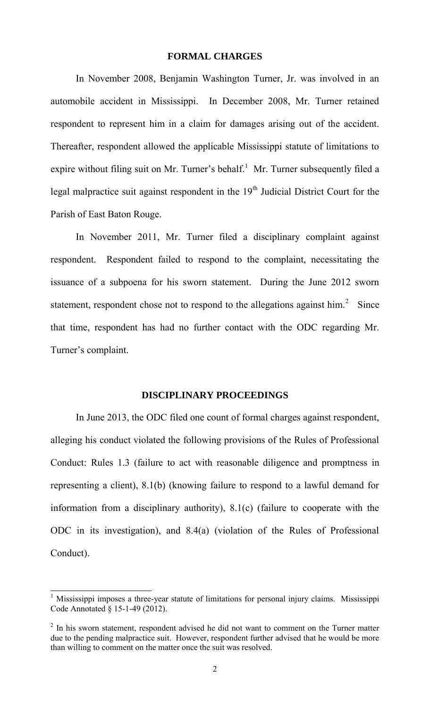#### **FORMAL CHARGES**

 In November 2008, Benjamin Washington Turner, Jr. was involved in an automobile accident in Mississippi. In December 2008, Mr. Turner retained respondent to represent him in a claim for damages arising out of the accident. Thereafter, respondent allowed the applicable Mississippi statute of limitations to expire without filing suit on Mr. Turner's behalf.<sup>1</sup> Mr. Turner subsequently filed a legal malpractice suit against respondent in the  $19<sup>th</sup>$  Judicial District Court for the Parish of East Baton Rouge.

 In November 2011, Mr. Turner filed a disciplinary complaint against respondent. Respondent failed to respond to the complaint, necessitating the issuance of a subpoena for his sworn statement. During the June 2012 sworn statement, respondent chose not to respond to the allegations against him.<sup>2</sup> Since that time, respondent has had no further contact with the ODC regarding Mr. Turner's complaint.

### **DISCIPLINARY PROCEEDINGS**

 In June 2013, the ODC filed one count of formal charges against respondent, alleging his conduct violated the following provisions of the Rules of Professional Conduct: Rules 1.3 (failure to act with reasonable diligence and promptness in representing a client), 8.1(b) (knowing failure to respond to a lawful demand for information from a disciplinary authority), 8.1(c) (failure to cooperate with the ODC in its investigation), and 8.4(a) (violation of the Rules of Professional Conduct).

<sup>&</sup>lt;sup>1</sup> Mississippi imposes a three-year statute of limitations for personal injury claims. Mississippi Code Annotated § 15-1-49 (2012).

 $2$  In his sworn statement, respondent advised he did not want to comment on the Turner matter due to the pending malpractice suit. However, respondent further advised that he would be more than willing to comment on the matter once the suit was resolved.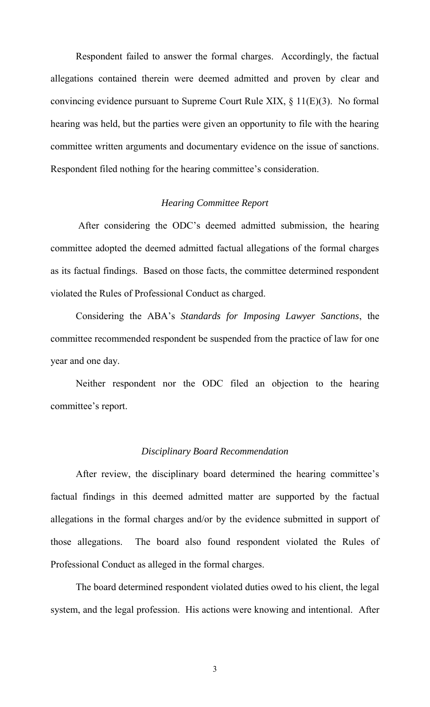Respondent failed to answer the formal charges. Accordingly, the factual allegations contained therein were deemed admitted and proven by clear and convincing evidence pursuant to Supreme Court Rule XIX, § 11(E)(3). No formal hearing was held, but the parties were given an opportunity to file with the hearing committee written arguments and documentary evidence on the issue of sanctions. Respondent filed nothing for the hearing committee's consideration.

#### *Hearing Committee Report*

 After considering the ODC's deemed admitted submission, the hearing committee adopted the deemed admitted factual allegations of the formal charges as its factual findings. Based on those facts, the committee determined respondent violated the Rules of Professional Conduct as charged.

Considering the ABA's *Standards for Imposing Lawyer Sanctions*, the committee recommended respondent be suspended from the practice of law for one year and one day.

Neither respondent nor the ODC filed an objection to the hearing committee's report.

#### *Disciplinary Board Recommendation*

 After review, the disciplinary board determined the hearing committee's factual findings in this deemed admitted matter are supported by the factual allegations in the formal charges and/or by the evidence submitted in support of those allegations. The board also found respondent violated the Rules of Professional Conduct as alleged in the formal charges.

 The board determined respondent violated duties owed to his client, the legal system, and the legal profession. His actions were knowing and intentional. After

3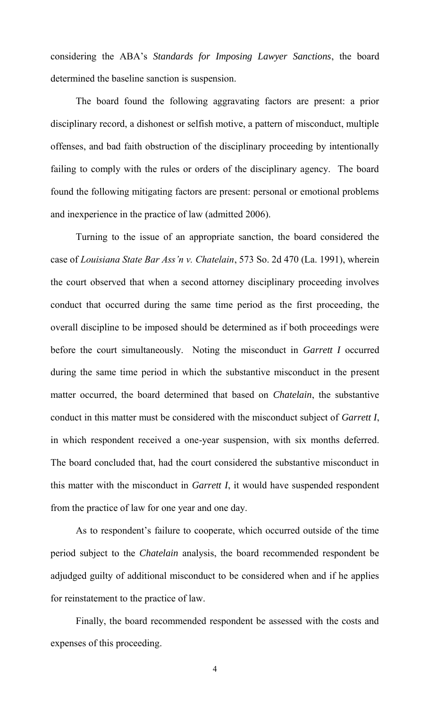considering the ABA's *Standards for Imposing Lawyer Sanctions*, the board determined the baseline sanction is suspension.

The board found the following aggravating factors are present: a prior disciplinary record, a dishonest or selfish motive, a pattern of misconduct, multiple offenses, and bad faith obstruction of the disciplinary proceeding by intentionally failing to comply with the rules or orders of the disciplinary agency. The board found the following mitigating factors are present: personal or emotional problems and inexperience in the practice of law (admitted 2006).

Turning to the issue of an appropriate sanction, the board considered the case of *Louisiana State Bar Ass'n v. Chatelain*, 573 So. 2d 470 (La. 1991), wherein the court observed that when a second attorney disciplinary proceeding involves conduct that occurred during the same time period as the first proceeding, the overall discipline to be imposed should be determined as if both proceedings were before the court simultaneously. Noting the misconduct in *Garrett I* occurred during the same time period in which the substantive misconduct in the present matter occurred, the board determined that based on *Chatelain*, the substantive conduct in this matter must be considered with the misconduct subject of *Garrett I*, in which respondent received a one-year suspension, with six months deferred. The board concluded that, had the court considered the substantive misconduct in this matter with the misconduct in *Garrett I*, it would have suspended respondent from the practice of law for one year and one day.

As to respondent's failure to cooperate, which occurred outside of the time period subject to the *Chatelain* analysis, the board recommended respondent be adjudged guilty of additional misconduct to be considered when and if he applies for reinstatement to the practice of law.

Finally, the board recommended respondent be assessed with the costs and expenses of this proceeding.

4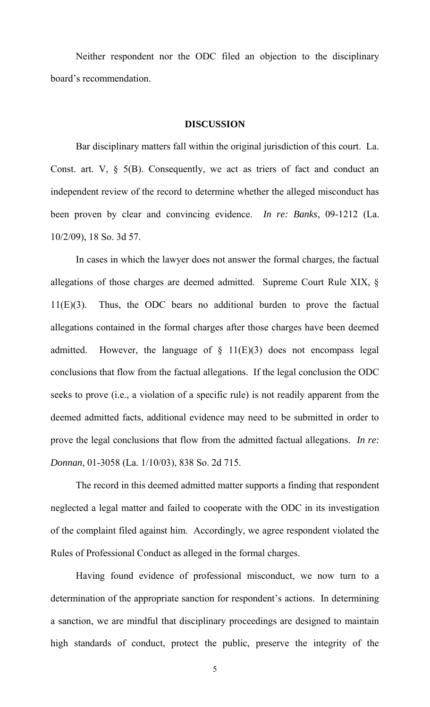Neither respondent nor the ODC filed an objection to the disciplinary board's recommendation.

#### **DISCUSSION**

Bar disciplinary matters fall within the original jurisdiction of this court. La. Const. art.  $V$ ,  $\S$  5(B). Consequently, we act as triers of fact and conduct an independent review of the record to determine whether the alleged misconduct has been proven by clear and convincing evidence. *In re: Banks*, 09-1212 (La. 10/2/09), 18 So. 3d 57.

In cases in which the lawyer does not answer the formal charges, the factual allegations of those charges are deemed admitted. Supreme Court Rule XIX, § 11(E)(3). Thus, the ODC bears no additional burden to prove the factual allegations contained in the formal charges after those charges have been deemed admitted. However, the language of  $\S$  11(E)(3) does not encompass legal conclusions that flow from the factual allegations. If the legal conclusion the ODC seeks to prove (i.e., a violation of a specific rule) is not readily apparent from the deemed admitted facts, additional evidence may need to be submitted in order to prove the legal conclusions that flow from the admitted factual allegations. *In re: Donnan*, 01-3058 (La. 1/10/03), 838 So. 2d 715.

 The record in this deemed admitted matter supports a finding that respondent neglected a legal matter and failed to cooperate with the ODC in its investigation of the complaint filed against him. Accordingly, we agree respondent violated the Rules of Professional Conduct as alleged in the formal charges.

Having found evidence of professional misconduct, we now turn to a determination of the appropriate sanction for respondent's actions. In determining a sanction, we are mindful that disciplinary proceedings are designed to maintain high standards of conduct, protect the public, preserve the integrity of the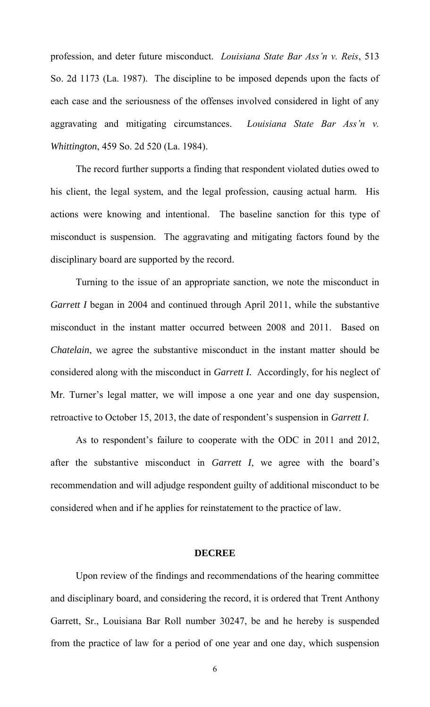profession, and deter future misconduct. *Louisiana State Bar Ass'n v. Reis*, 513 So. 2d 1173 (La. 1987). The discipline to be imposed depends upon the facts of each case and the seriousness of the offenses involved considered in light of any aggravating and mitigating circumstances. *Louisiana State Bar Ass'n v. Whittington*, 459 So. 2d 520 (La. 1984).

 The record further supports a finding that respondent violated duties owed to his client, the legal system, and the legal profession, causing actual harm. His actions were knowing and intentional. The baseline sanction for this type of misconduct is suspension. The aggravating and mitigating factors found by the disciplinary board are supported by the record.

Turning to the issue of an appropriate sanction, we note the misconduct in *Garrett I* began in 2004 and continued through April 2011, while the substantive misconduct in the instant matter occurred between 2008 and 2011. Based on *Chatelain*, we agree the substantive misconduct in the instant matter should be considered along with the misconduct in *Garrett I.* Accordingly, for his neglect of Mr. Turner's legal matter, we will impose a one year and one day suspension, retroactive to October 15, 2013, the date of respondent's suspension in *Garrett I*.

As to respondent's failure to cooperate with the ODC in 2011 and 2012, after the substantive misconduct in *Garrett I*, we agree with the board's recommendation and will adjudge respondent guilty of additional misconduct to be considered when and if he applies for reinstatement to the practice of law.

#### **DECREE**

 Upon review of the findings and recommendations of the hearing committee and disciplinary board, and considering the record, it is ordered that Trent Anthony Garrett, Sr., Louisiana Bar Roll number 30247, be and he hereby is suspended from the practice of law for a period of one year and one day, which suspension